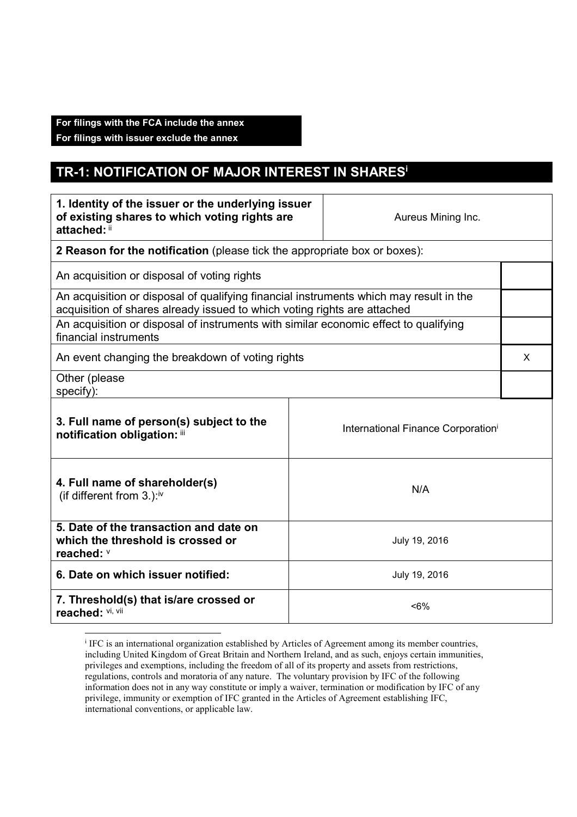## **For filings with the FCA include the annex**

**For filings with issuer exclude the annex** 

## **TR-1: NOTIFICATION OF MAJOR INTEREST IN SHARES<sup>i</sup>**

| 1. Identity of the issuer or the underlying issuer<br>of existing shares to which voting rights are<br>attached: ii                                                |  | Aureus Mining Inc.                             |  |  |
|--------------------------------------------------------------------------------------------------------------------------------------------------------------------|--|------------------------------------------------|--|--|
| 2 Reason for the notification (please tick the appropriate box or boxes):                                                                                          |  |                                                |  |  |
| An acquisition or disposal of voting rights                                                                                                                        |  |                                                |  |  |
| An acquisition or disposal of qualifying financial instruments which may result in the<br>acquisition of shares already issued to which voting rights are attached |  |                                                |  |  |
| An acquisition or disposal of instruments with similar economic effect to qualifying<br>financial instruments                                                      |  |                                                |  |  |
| An event changing the breakdown of voting rights                                                                                                                   |  |                                                |  |  |
| Other (please<br>specify):                                                                                                                                         |  |                                                |  |  |
| 3. Full name of person(s) subject to the<br>notification obligation: iii                                                                                           |  | International Finance Corporation <sup>i</sup> |  |  |
| 4. Full name of shareholder(s)<br>N/A<br>(if different from $3.$ ): <sup>iv</sup>                                                                                  |  |                                                |  |  |
| 5. Date of the transaction and date on<br>which the threshold is crossed or<br>reached: V                                                                          |  | July 19, 2016                                  |  |  |
| 6. Date on which issuer notified:<br>July 19, 2016                                                                                                                 |  |                                                |  |  |
| 7. Threshold(s) that is/are crossed or<br>$< 6\%$<br>reached: Vi, Vii                                                                                              |  |                                                |  |  |

IFC is an international organization established by Articles of Agreement among its member countries, including United Kingdom of Great Britain and Northern Ireland, and as such, enjoys certain immunities, privileges and exemptions, including the freedom of all of its property and assets from restrictions, regulations, controls and moratoria of any nature. The voluntary provision by IFC of the following information does not in any way constitute or imply a waiver, termination or modification by IFC of any privilege, immunity or exemption of IFC granted in the Articles of Agreement establishing IFC, international conventions, or applicable law.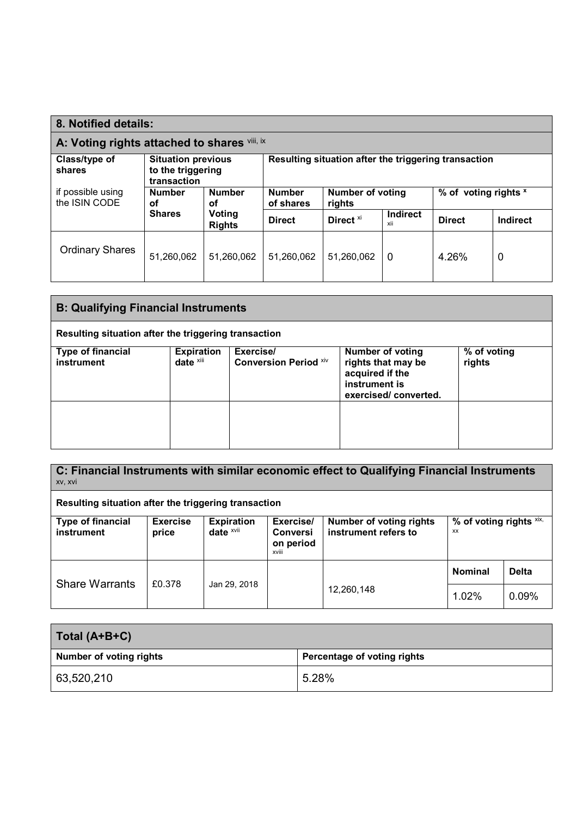| 8. Notified details:                                                             |                                                               |                                                           |                                                      |                      |                        |               |          |
|----------------------------------------------------------------------------------|---------------------------------------------------------------|-----------------------------------------------------------|------------------------------------------------------|----------------------|------------------------|---------------|----------|
| A: Voting rights attached to shares vill, ix                                     |                                                               |                                                           |                                                      |                      |                        |               |          |
| Class/type of<br>shares                                                          | <b>Situation previous</b><br>to the triggering<br>transaction |                                                           | Resulting situation after the triggering transaction |                      |                        |               |          |
| if possible using<br><b>Number</b><br><b>Number</b><br>the ISIN CODE<br>οf<br>οf | <b>Number</b><br>of shares                                    | <b>Number of voting</b><br>% of voting rights x<br>rights |                                                      |                      |                        |               |          |
|                                                                                  | <b>Shares</b>                                                 | Voting<br><b>Rights</b>                                   | <b>Direct</b>                                        | Direct <sup>xi</sup> | <b>Indirect</b><br>xii | <b>Direct</b> | Indirect |
| <b>Ordinary Shares</b>                                                           | 51,260,062                                                    | 51,260,062                                                | 51,260,062                                           | 51,260,062           | $\Omega$               | 4.26%         | 0        |

| <b>B: Qualifying Financial Instruments</b>           |                                   |                                           |                                                                                                           |                       |
|------------------------------------------------------|-----------------------------------|-------------------------------------------|-----------------------------------------------------------------------------------------------------------|-----------------------|
| Resulting situation after the triggering transaction |                                   |                                           |                                                                                                           |                       |
| <b>Type of financial</b><br>instrument               | <b>Expiration</b><br>date $x$ iii | Exercise/<br><b>Conversion Period Xiv</b> | <b>Number of voting</b><br>rights that may be<br>acquired if the<br>instrument is<br>exercised/converted. | % of voting<br>rights |
|                                                      |                                   |                                           |                                                                                                           |                       |

**C: Financial Instruments with similar economic effect to Qualifying Financial Instruments** xv, xvi

**Resulting situation after the triggering transaction** 

| <b>Type of financial</b><br>instrument | <b>Exercise</b><br>price | <b>Expiration</b><br>date $x$ <sup>vii</sup> | Exercise/<br><b>Conversi</b><br>on period<br>xviii | <b>Number of voting rights</b><br>instrument refers to | % of voting rights $x$ ix,<br>XX |              |
|----------------------------------------|--------------------------|----------------------------------------------|----------------------------------------------------|--------------------------------------------------------|----------------------------------|--------------|
| <b>Share Warrants</b>                  | £0.378                   |                                              |                                                    |                                                        | <b>Nominal</b>                   | <b>Delta</b> |
|                                        |                          | Jan 29, 2018                                 |                                                    | 12,260,148                                             | 1.02%                            | 0.09%        |

| Total (A+B+C)           |                             |
|-------------------------|-----------------------------|
| Number of voting rights | Percentage of voting rights |
| 63,520,210              | 5.28%                       |